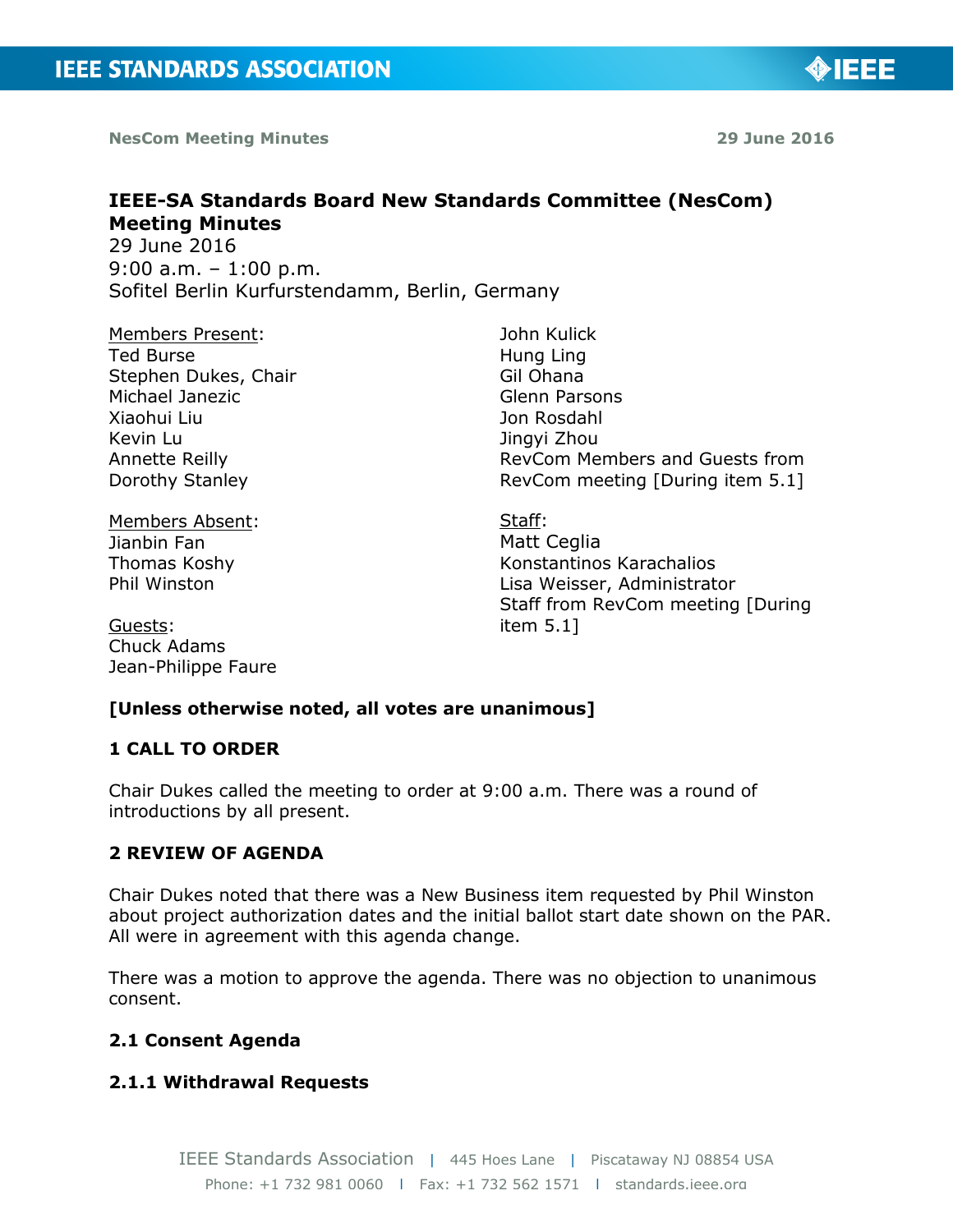**NesCom Meeting Minutes 29 June 2016** 

◈IEEE

# **IEEE-SA Standards Board New Standards Committee (NesCom) Meeting Minutes**  29 June 2016

9:00 a.m. – 1:00 p.m. Sofitel Berlin Kurfurstendamm, Berlin, Germany

Members Present: Ted Burse Stephen Dukes, Chair Michael Janezic Xiaohui Liu Kevin Lu Annette Reilly Dorothy Stanley

Members Absent: Jianbin Fan Thomas Koshy Phil Winston

Guests: Chuck Adams Jean-Philippe Faure John Kulick Hung Ling Gil Ohana Glenn Parsons Jon Rosdahl Jingyi Zhou RevCom Members and Guests from RevCom meeting [During item 5.1]

Staff: Matt Ceglia Konstantinos Karachalios Lisa Weisser, Administrator Staff from RevCom meeting [During item 5.1]

# **[Unless otherwise noted, all votes are unanimous]**

## **1 CALL TO ORDER**

Chair Dukes called the meeting to order at 9:00 a.m. There was a round of introductions by all present.

## **2 REVIEW OF AGENDA**

Chair Dukes noted that there was a New Business item requested by Phil Winston about project authorization dates and the initial ballot start date shown on the PAR. All were in agreement with this agenda change.

There was a motion to approve the agenda. There was no objection to unanimous consent.

## **2.1 Consent Agenda**

## **2.1.1 Withdrawal Requests**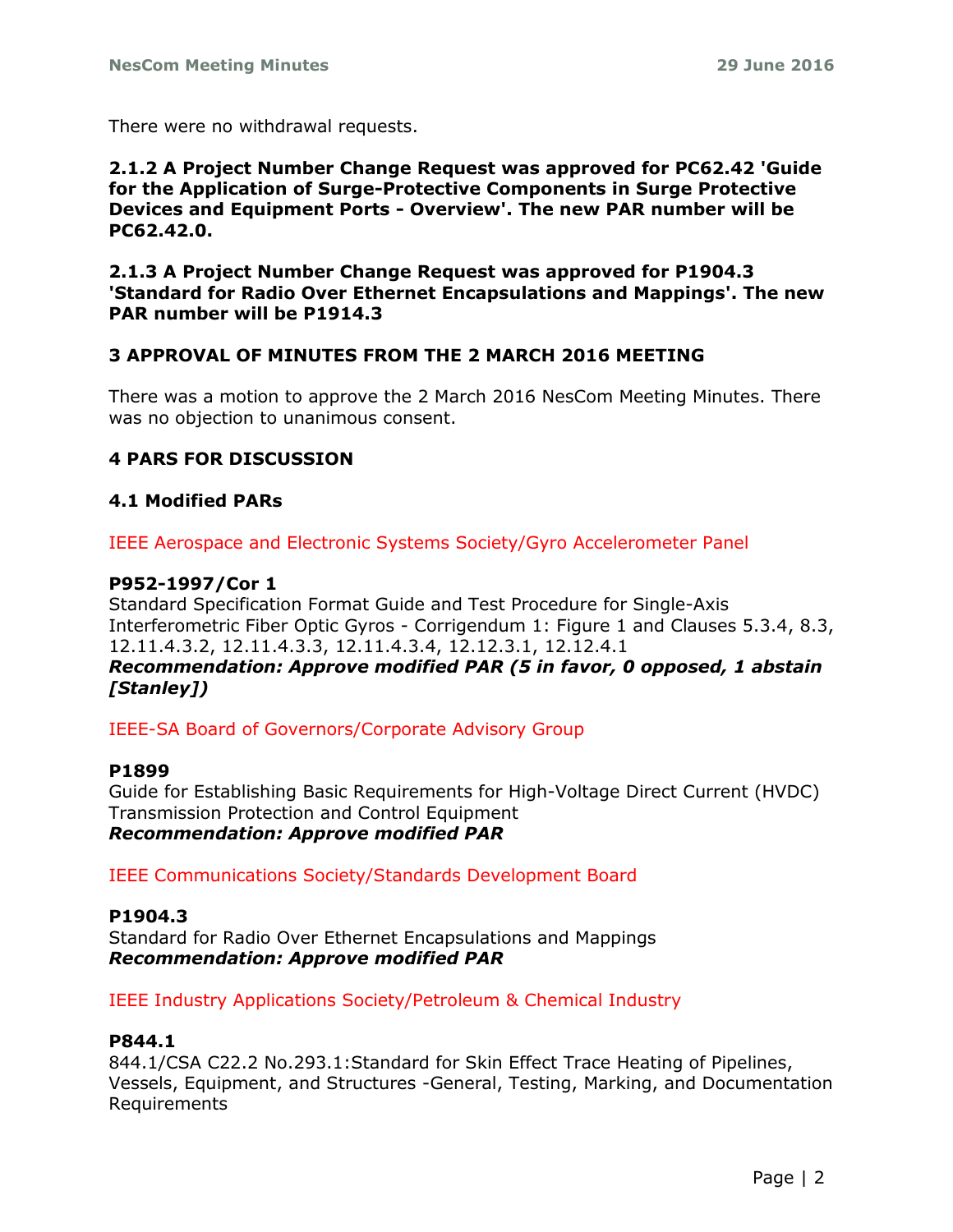There were no withdrawal requests.

**2.1.2 A Project Number Change Request was approved for PC62.42 'Guide for the Application of Surge-Protective Components in Surge Protective Devices and Equipment Ports - Overview'. The new PAR number will be PC62.42.0.**

#### **2.1.3 A Project Number Change Request was approved for P1904.3 'Standard for Radio Over Ethernet Encapsulations and Mappings'. The new PAR number will be P1914.3**

### **3 APPROVAL OF MINUTES FROM THE 2 MARCH 2016 MEETING**

There was a motion to approve the 2 March 2016 NesCom Meeting Minutes. There was no objection to unanimous consent.

#### **4 PARS FOR DISCUSSION**

### **4.1 Modified PARs**

IEEE Aerospace and Electronic Systems Society/Gyro Accelerometer Panel

#### **P952-1997/Cor 1**

Standard Specification Format Guide and Test Procedure for Single-Axis Interferometric Fiber Optic Gyros - Corrigendum 1: Figure 1 and Clauses 5.3.4, 8.3, 12.11.4.3.2, 12.11.4.3.3, 12.11.4.3.4, 12.12.3.1, 12.12.4.1 *Recommendation: Approve modified PAR (5 in favor, 0 opposed, 1 abstain [Stanley])*

IEEE-SA Board of Governors/Corporate Advisory Group

#### **P1899**

Guide for Establishing Basic Requirements for High-Voltage Direct Current (HVDC) Transmission Protection and Control Equipment *Recommendation: Approve modified PAR*

IEEE Communications Society/Standards Development Board

#### **P1904.3**

Standard for Radio Over Ethernet Encapsulations and Mappings *Recommendation: Approve modified PAR*

IEEE Industry Applications Society/Petroleum & Chemical Industry

#### **P844.1**

844.1/CSA C22.2 No.293.1:Standard for Skin Effect Trace Heating of Pipelines, Vessels, Equipment, and Structures -General, Testing, Marking, and Documentation Requirements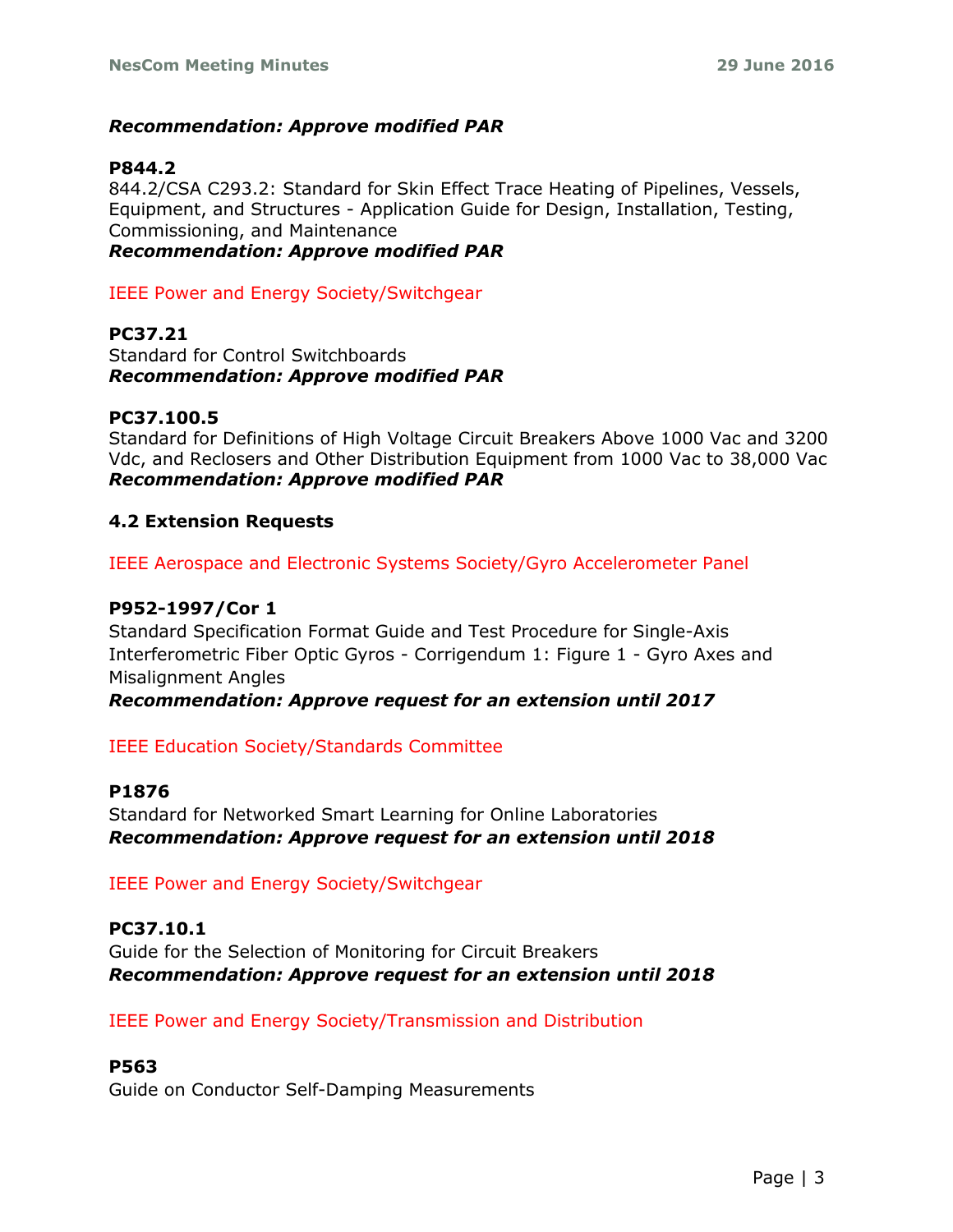## *Recommendation: Approve modified PAR*

### **P844.2**

844.2/CSA C293.2: Standard for Skin Effect Trace Heating of Pipelines, Vessels, Equipment, and Structures - Application Guide for Design, Installation, Testing, Commissioning, and Maintenance

*Recommendation: Approve modified PAR*

IEEE Power and Energy Society/Switchgear

**PC37.21** Standard for Control Switchboards *Recommendation: Approve modified PAR*

#### **PC37.100.5**

Standard for Definitions of High Voltage Circuit Breakers Above 1000 Vac and 3200 Vdc, and Reclosers and Other Distribution Equipment from 1000 Vac to 38,000 Vac *Recommendation: Approve modified PAR*

#### **4.2 Extension Requests**

IEEE Aerospace and Electronic Systems Society/Gyro Accelerometer Panel

## **P952-1997/Cor 1**

Standard Specification Format Guide and Test Procedure for Single-Axis Interferometric Fiber Optic Gyros - Corrigendum 1: Figure 1 - Gyro Axes and Misalignment Angles

*Recommendation: Approve request for an extension until 2017*

#### IEEE Education Society/Standards Committee

#### **P1876**

Standard for Networked Smart Learning for Online Laboratories *Recommendation: Approve request for an extension until 2018*

IEEE Power and Energy Society/Switchgear

#### **PC37.10.1**

Guide for the Selection of Monitoring for Circuit Breakers *Recommendation: Approve request for an extension until 2018*

IEEE Power and Energy Society/Transmission and Distribution

#### **P563**

Guide on Conductor Self-Damping Measurements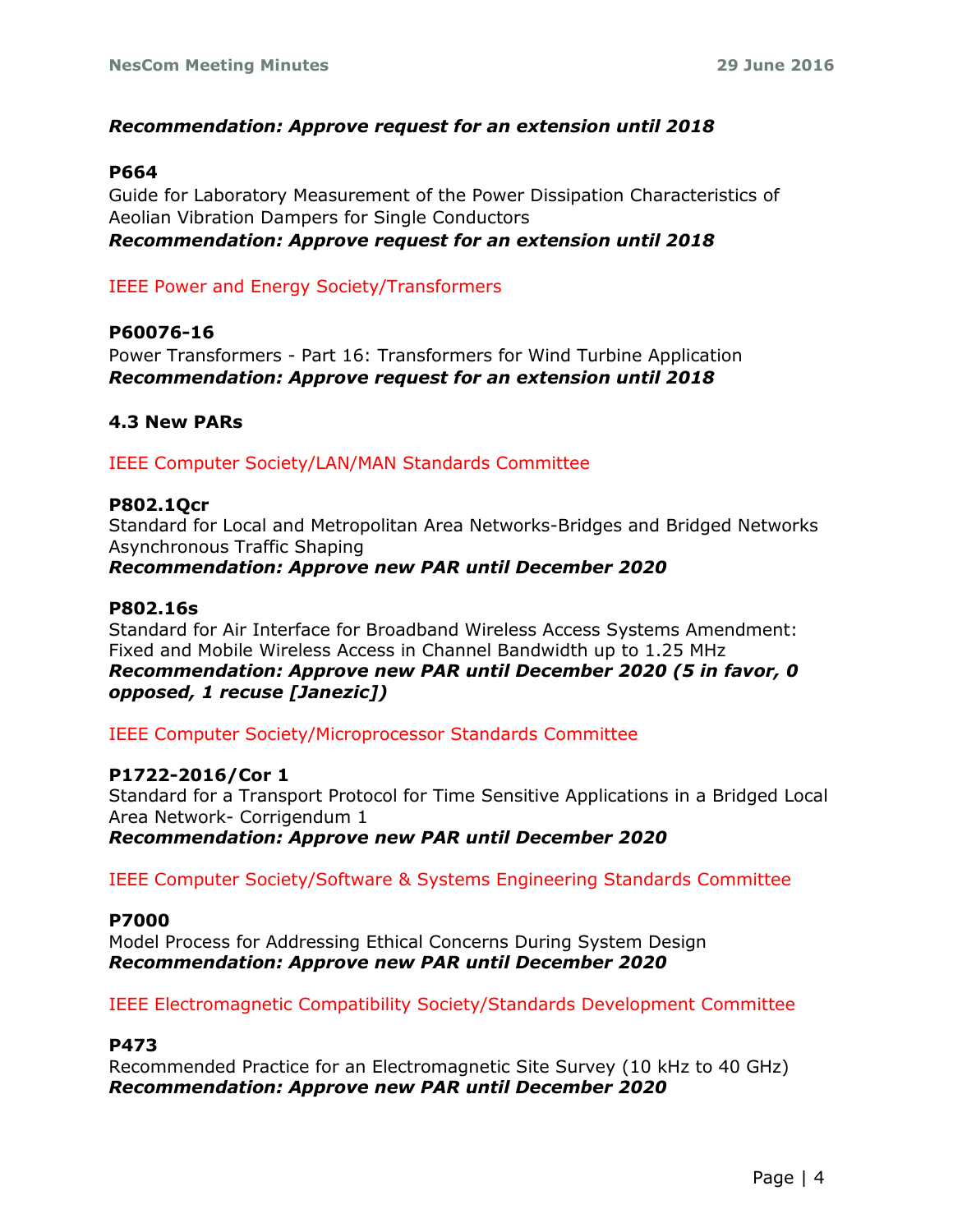#### *Recommendation: Approve request for an extension until 2018*

#### **P664**

Guide for Laboratory Measurement of the Power Dissipation Characteristics of Aeolian Vibration Dampers for Single Conductors *Recommendation: Approve request for an extension until 2018*

#### IEEE Power and Energy Society/Transformers

#### **P60076-16**

Power Transformers - Part 16: Transformers for Wind Turbine Application *Recommendation: Approve request for an extension until 2018*

#### **4.3 New PARs**

IEEE Computer Society/LAN/MAN Standards Committee

#### **P802.1Qcr**

Standard for Local and Metropolitan Area Networks-Bridges and Bridged Networks Asynchronous Traffic Shaping *Recommendation: Approve new PAR until December 2020*

#### **P802.16s**

Standard for Air Interface for Broadband Wireless Access Systems Amendment: Fixed and Mobile Wireless Access in Channel Bandwidth up to 1.25 MHz *Recommendation: Approve new PAR until December 2020 (5 in favor, 0 opposed, 1 recuse [Janezic])*

IEEE Computer Society/Microprocessor Standards Committee

#### **P1722-2016/Cor 1**

Standard for a Transport Protocol for Time Sensitive Applications in a Bridged Local Area Network- Corrigendum 1

*Recommendation: Approve new PAR until December 2020*

IEEE Computer Society/Software & Systems Engineering Standards Committee

#### **P7000**

Model Process for Addressing Ethical Concerns During System Design *Recommendation: Approve new PAR until December 2020*

IEEE Electromagnetic Compatibility Society/Standards Development Committee

#### **P473**

Recommended Practice for an Electromagnetic Site Survey (10 kHz to 40 GHz) *Recommendation: Approve new PAR until December 2020*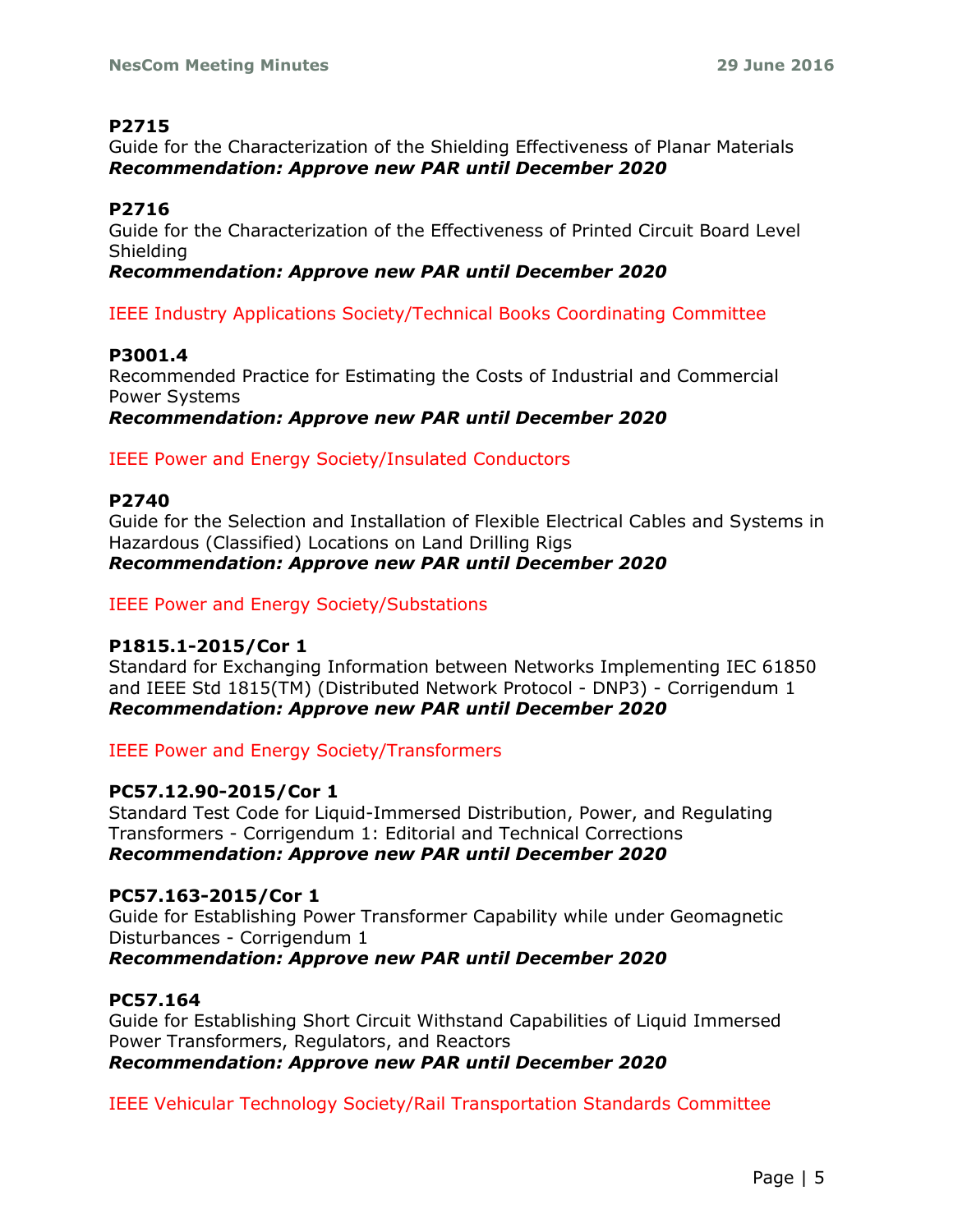## **P2715**

Guide for the Characterization of the Shielding Effectiveness of Planar Materials *Recommendation: Approve new PAR until December 2020*

# **P2716**

Guide for the Characterization of the Effectiveness of Printed Circuit Board Level Shielding

## *Recommendation: Approve new PAR until December 2020*

IEEE Industry Applications Society/Technical Books Coordinating Committee

# **P3001.4**

Recommended Practice for Estimating the Costs of Industrial and Commercial Power Systems *Recommendation: Approve new PAR until December 2020*

IEEE Power and Energy Society/Insulated Conductors

# **P2740**

Guide for the Selection and Installation of Flexible Electrical Cables and Systems in Hazardous (Classified) Locations on Land Drilling Rigs *Recommendation: Approve new PAR until December 2020*

IEEE Power and Energy Society/Substations

## **P1815.1-2015/Cor 1**

Standard for Exchanging Information between Networks Implementing IEC 61850 and IEEE Std 1815(TM) (Distributed Network Protocol - DNP3) - Corrigendum 1 *Recommendation: Approve new PAR until December 2020*

IEEE Power and Energy Society/Transformers

# **PC57.12.90-2015/Cor 1**

Standard Test Code for Liquid-Immersed Distribution, Power, and Regulating Transformers - Corrigendum 1: Editorial and Technical Corrections *Recommendation: Approve new PAR until December 2020*

## **PC57.163-2015/Cor 1**

Guide for Establishing Power Transformer Capability while under Geomagnetic Disturbances - Corrigendum 1

*Recommendation: Approve new PAR until December 2020*

## **PC57.164**

Guide for Establishing Short Circuit Withstand Capabilities of Liquid Immersed Power Transformers, Regulators, and Reactors *Recommendation: Approve new PAR until December 2020*

IEEE Vehicular Technology Society/Rail Transportation Standards Committee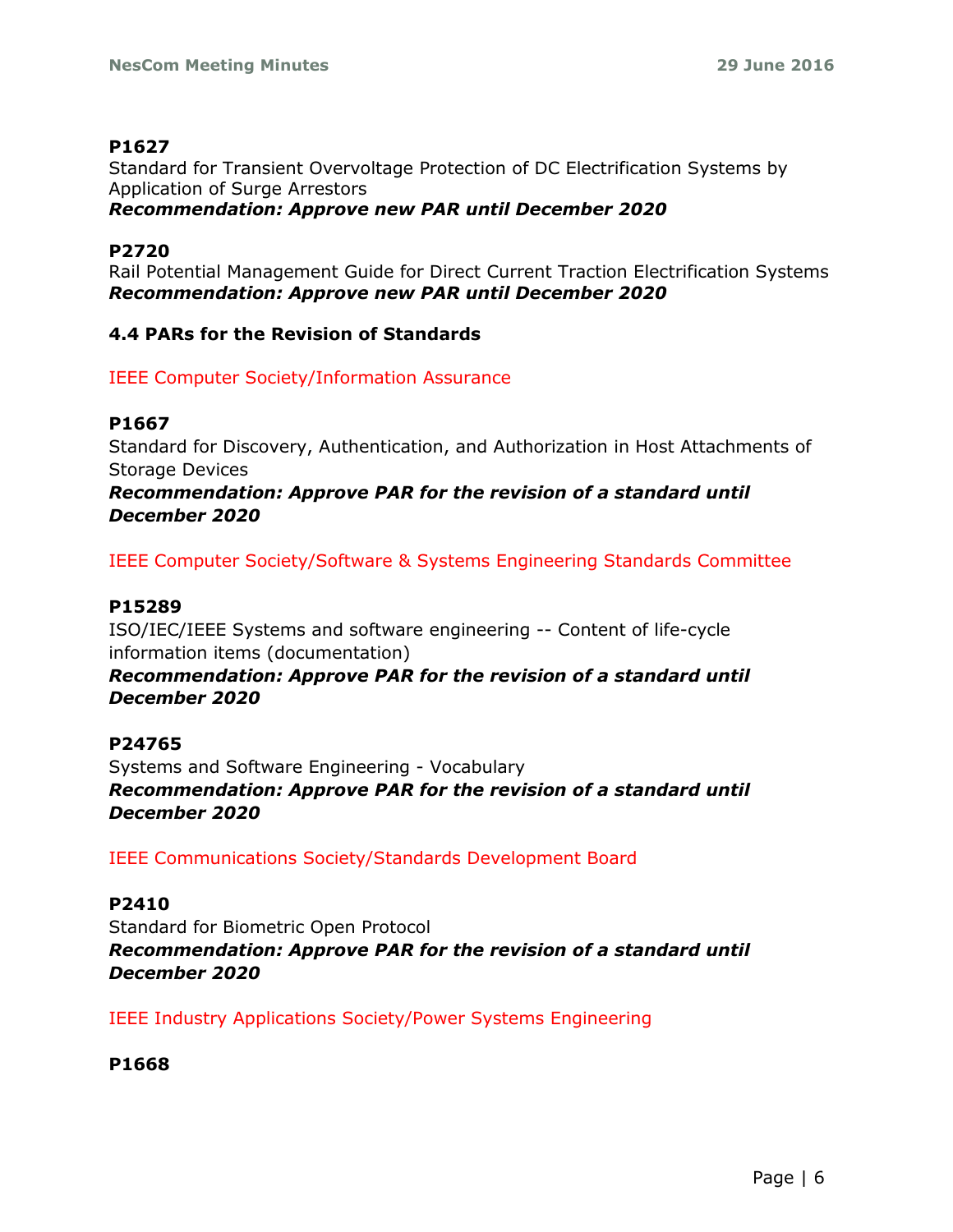## **P1627**

Standard for Transient Overvoltage Protection of DC Electrification Systems by Application of Surge Arrestors *Recommendation: Approve new PAR until December 2020*

## **P2720**

Rail Potential Management Guide for Direct Current Traction Electrification Systems *Recommendation: Approve new PAR until December 2020*

## **4.4 PARs for the Revision of Standards**

IEEE Computer Society/Information Assurance

## **P1667**

Standard for Discovery, Authentication, and Authorization in Host Attachments of Storage Devices

*Recommendation: Approve PAR for the revision of a standard until December 2020*

IEEE Computer Society/Software & Systems Engineering Standards Committee

## **P15289**

ISO/IEC/IEEE Systems and software engineering -- Content of life-cycle information items (documentation) *Recommendation: Approve PAR for the revision of a standard until December 2020*

# **P24765**

Systems and Software Engineering - Vocabulary *Recommendation: Approve PAR for the revision of a standard until December 2020*

IEEE Communications Society/Standards Development Board

## **P2410**

Standard for Biometric Open Protocol *Recommendation: Approve PAR for the revision of a standard until December 2020*

IEEE Industry Applications Society/Power Systems Engineering

**P1668**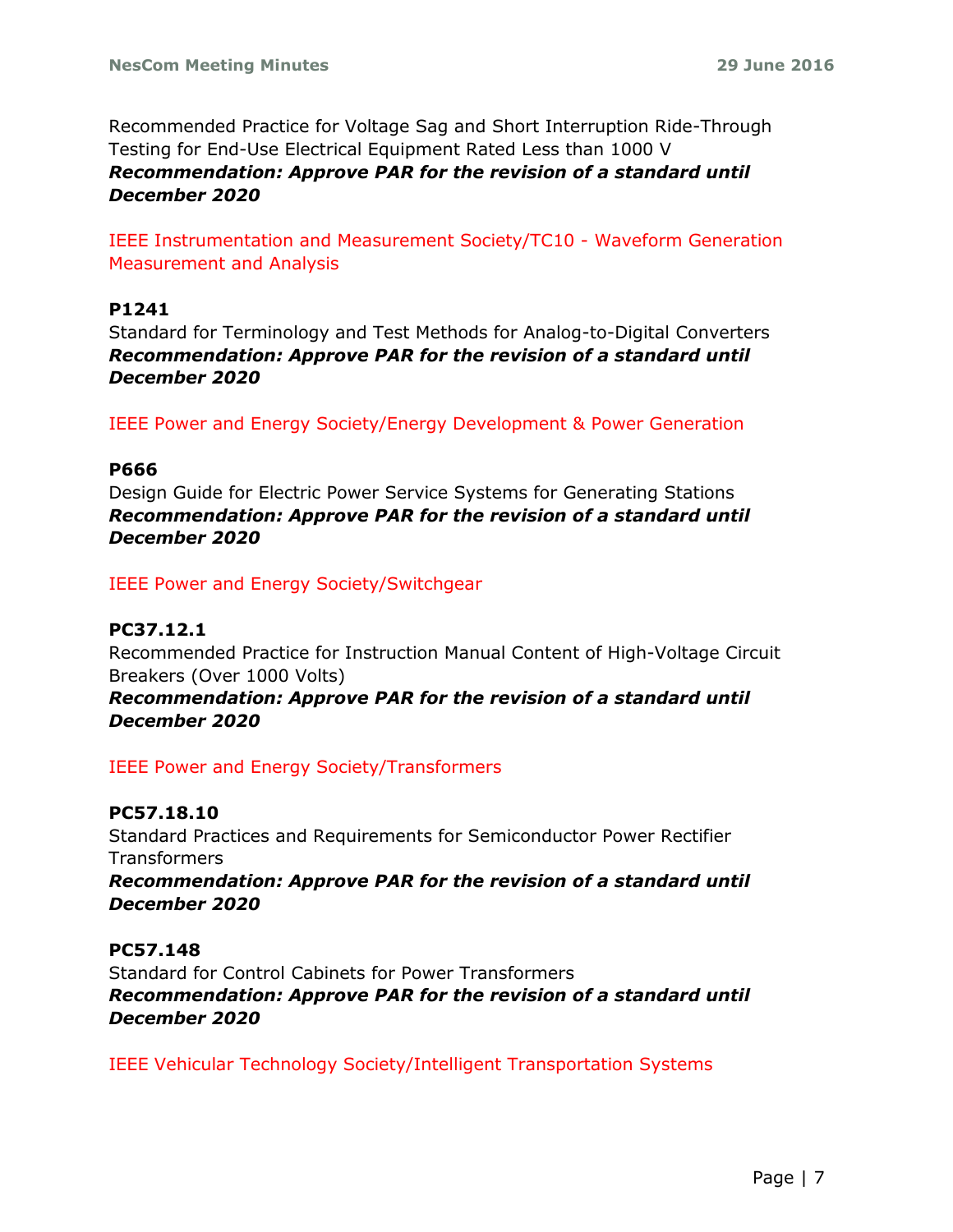Recommended Practice for Voltage Sag and Short Interruption Ride-Through Testing for End-Use Electrical Equipment Rated Less than 1000 V *Recommendation: Approve PAR for the revision of a standard until December 2020*

IEEE Instrumentation and Measurement Society/TC10 - Waveform Generation Measurement and Analysis

### **P1241**

Standard for Terminology and Test Methods for Analog-to-Digital Converters *Recommendation: Approve PAR for the revision of a standard until December 2020*

IEEE Power and Energy Society/Energy Development & Power Generation

### **P666**

Design Guide for Electric Power Service Systems for Generating Stations *Recommendation: Approve PAR for the revision of a standard until December 2020*

IEEE Power and Energy Society/Switchgear

## **PC37.12.1**

Recommended Practice for Instruction Manual Content of High-Voltage Circuit Breakers (Over 1000 Volts)

*Recommendation: Approve PAR for the revision of a standard until December 2020*

IEEE Power and Energy Society/Transformers

# **PC57.18.10**

Standard Practices and Requirements for Semiconductor Power Rectifier **Transformers** 

*Recommendation: Approve PAR for the revision of a standard until December 2020*

#### **PC57.148**

Standard for Control Cabinets for Power Transformers *Recommendation: Approve PAR for the revision of a standard until December 2020*

IEEE Vehicular Technology Society/Intelligent Transportation Systems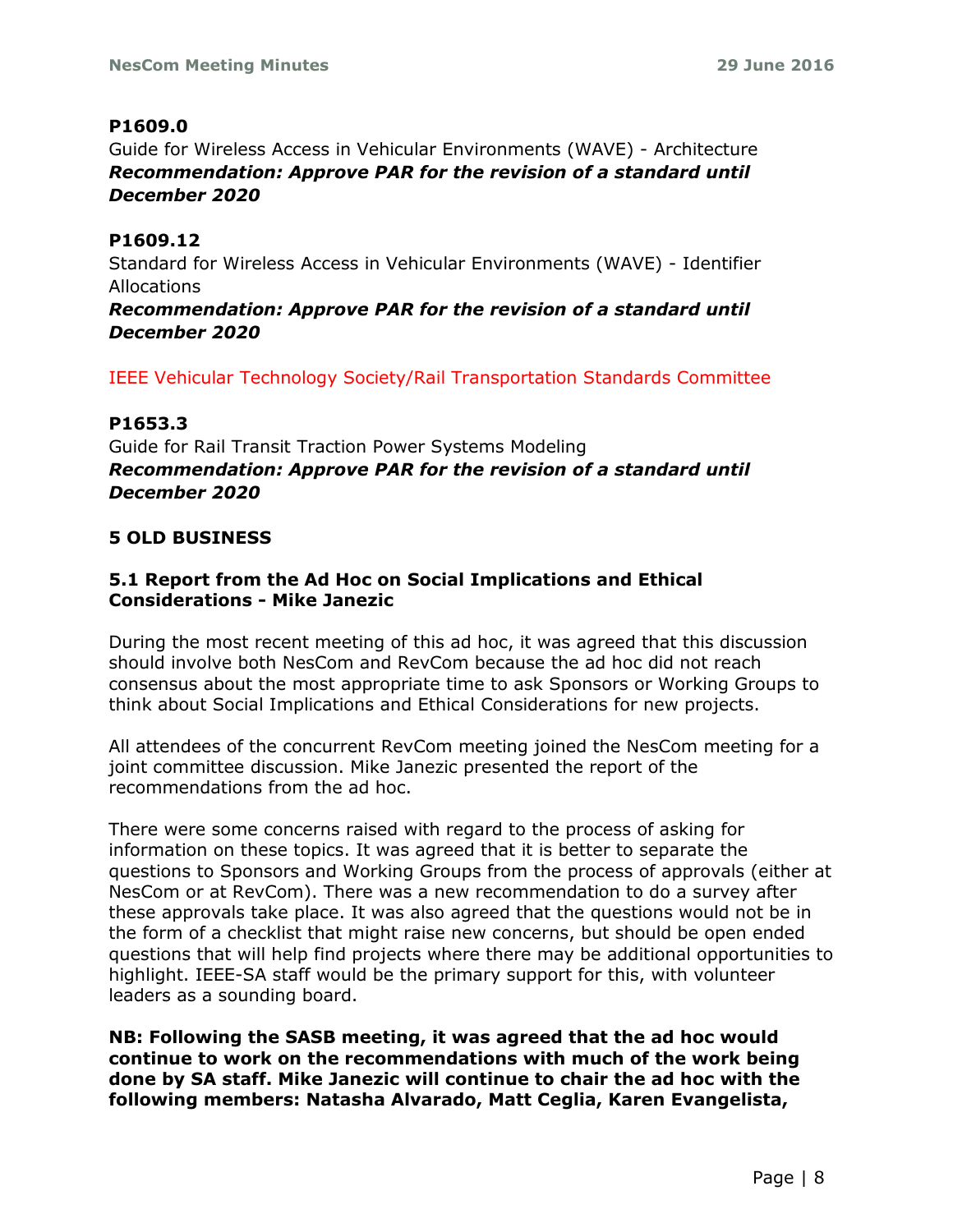## **P1609.0**

Guide for Wireless Access in Vehicular Environments (WAVE) - Architecture *Recommendation: Approve PAR for the revision of a standard until December 2020*

## **P1609.12**

Standard for Wireless Access in Vehicular Environments (WAVE) - Identifier Allocations

*Recommendation: Approve PAR for the revision of a standard until December 2020*

IEEE Vehicular Technology Society/Rail Transportation Standards Committee

### **P1653.3**

Guide for Rail Transit Traction Power Systems Modeling *Recommendation: Approve PAR for the revision of a standard until December 2020*

### **5 OLD BUSINESS**

## **5.1 Report from the Ad Hoc on Social Implications and Ethical Considerations - Mike Janezic**

During the most recent meeting of this ad hoc, it was agreed that this discussion should involve both NesCom and RevCom because the ad hoc did not reach consensus about the most appropriate time to ask Sponsors or Working Groups to think about Social Implications and Ethical Considerations for new projects.

All attendees of the concurrent RevCom meeting joined the NesCom meeting for a joint committee discussion. Mike Janezic presented the report of the recommendations from the ad hoc.

There were some concerns raised with regard to the process of asking for information on these topics. It was agreed that it is better to separate the questions to Sponsors and Working Groups from the process of approvals (either at NesCom or at RevCom). There was a new recommendation to do a survey after these approvals take place. It was also agreed that the questions would not be in the form of a checklist that might raise new concerns, but should be open ended questions that will help find projects where there may be additional opportunities to highlight. IEEE-SA staff would be the primary support for this, with volunteer leaders as a sounding board.

**NB: Following the SASB meeting, it was agreed that the ad hoc would continue to work on the recommendations with much of the work being done by SA staff. Mike Janezic will continue to chair the ad hoc with the following members: Natasha Alvarado, Matt Ceglia, Karen Evangelista,**